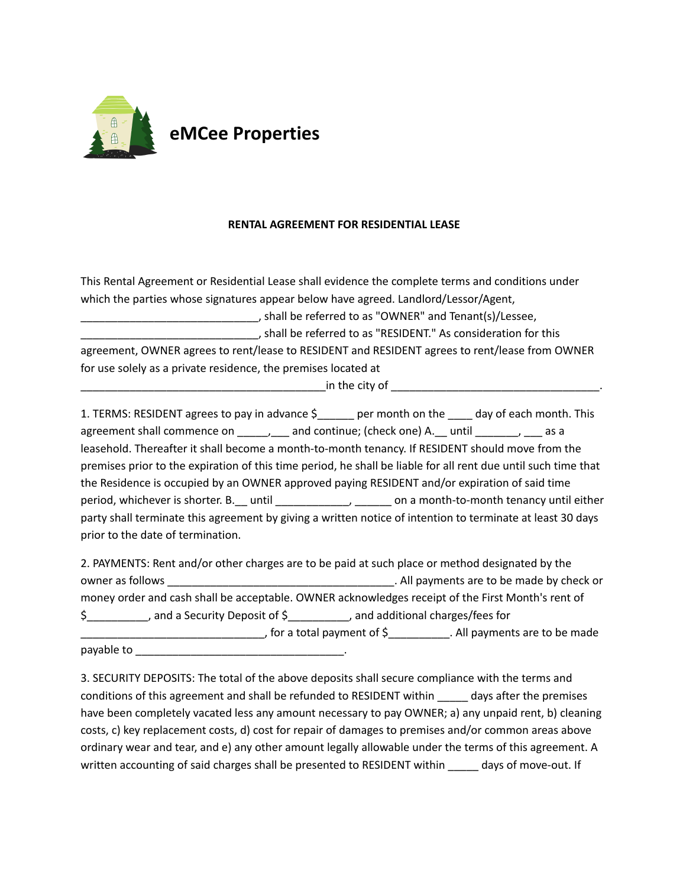

## **RENTAL AGREEMENT FOR RESIDENTIAL LEASE**

This Rental Agreement or Residential Lease shall evidence the complete terms and conditions under which the parties whose signatures appear below have agreed. Landlord/Lessor/Agent, \_\_\_\_\_\_\_\_\_\_\_\_\_\_\_\_\_\_\_\_\_\_\_\_\_\_\_\_\_, shall be referred to as "OWNER" and Tenant(s)/Lessee, \_\_\_\_\_\_\_\_\_\_\_\_\_\_\_\_\_\_\_\_\_\_\_\_\_\_\_\_\_, shall be referred to as "RESIDENT." As consideration for this agreement, OWNER agrees to rent/lease to RESIDENT and RESIDENT agrees to rent/lease from OWNER for use solely as a private residence, the premises located at \_\_\_\_\_\_\_\_\_\_\_\_\_\_\_\_\_\_\_\_\_\_\_\_\_\_\_\_\_\_\_\_\_\_\_\_\_\_\_\_in the city of \_\_\_\_\_\_\_\_\_\_\_\_\_\_\_\_\_\_\_\_\_\_\_\_\_\_\_\_\_\_\_\_\_\_.

1. TERMS: RESIDENT agrees to pay in advance  $\zeta$  per month on the day of each month. This agreement shall commence on \_\_\_\_\_, \_\_\_ and continue; (check one) A. \_\_ until \_\_\_\_\_\_\_, \_\_ as a leasehold. Thereafter it shall become a month-to-month tenancy. If RESIDENT should move from the premises prior to the expiration of this time period, he shall be liable for all rent due until such time that the Residence is occupied by an OWNER approved paying RESIDENT and/or expiration of said time period, whichever is shorter. B. \_\_ until \_\_\_\_\_\_\_\_\_\_\_\_\_\_\_, \_\_\_\_\_\_\_ on a month-to-month tenancy until either party shall terminate this agreement by giving a written notice of intention to terminate at least 30 days prior to the date of termination.

2. PAYMENTS: Rent and/or other charges are to be paid at such place or method designated by the owner as follows \_\_\_\_\_\_\_\_\_\_\_\_\_\_\_\_\_\_\_\_\_\_\_\_\_\_\_\_\_\_\_\_\_\_\_\_\_. All payments are to be made by check or money order and cash shall be acceptable. OWNER acknowledges receipt of the First Month's rent of \$\_\_\_\_\_\_\_\_\_\_, and a Security Deposit of \$\_\_\_\_\_\_\_\_\_\_, and additional charges/fees for \_\_\_\_\_\_\_\_\_\_\_\_\_\_\_\_\_\_\_\_\_\_\_\_\_\_\_\_\_\_, for a total payment of \$\_\_\_\_\_\_\_\_\_\_. All payments are to be made payable to **we cannot** 

3. SECURITY DEPOSITS: The total of the above deposits shall secure compliance with the terms and conditions of this agreement and shall be refunded to RESIDENT within \_\_\_\_\_ days after the premises have been completely vacated less any amount necessary to pay OWNER; a) any unpaid rent, b) cleaning costs, c) key replacement costs, d) cost for repair of damages to premises and/or common areas above ordinary wear and tear, and e) any other amount legally allowable under the terms of this agreement. A written accounting of said charges shall be presented to RESIDENT within \_\_\_\_\_ days of move-out. If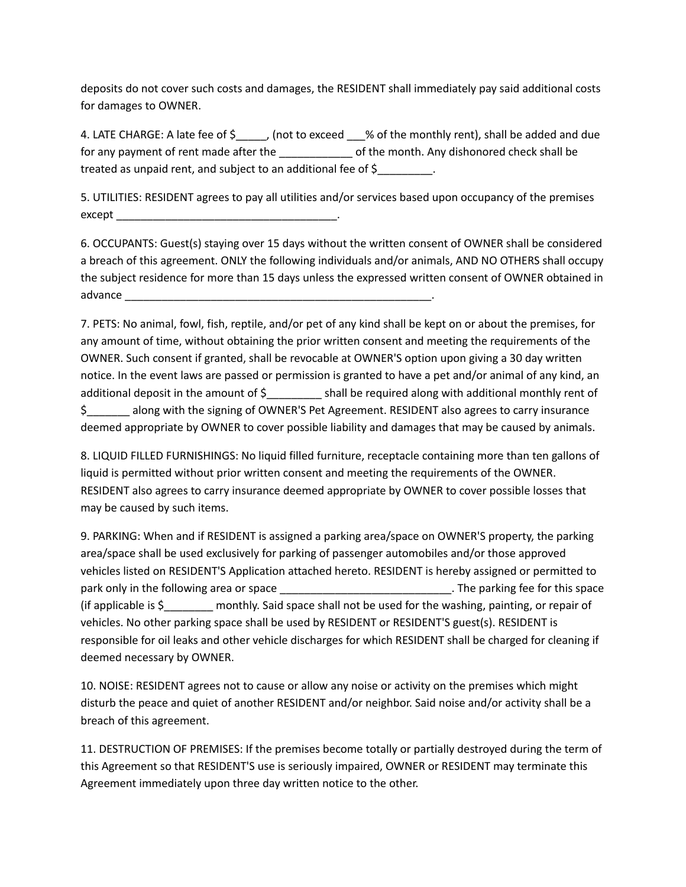deposits do not cover such costs and damages, the RESIDENT shall immediately pay said additional costs for damages to OWNER.

4. LATE CHARGE: A late fee of \$\_\_\_\_\_, (not to exceed \_\_\_% of the monthly rent), shall be added and due for any payment of rent made after the electronic of the month. Any dishonored check shall be treated as unpaid rent, and subject to an additional fee of \$\_\_\_\_\_\_\_\_\_.

5. UTILITIES: RESIDENT agrees to pay all utilities and/or services based upon occupancy of the premises except

6. OCCUPANTS: Guest(s) staying over 15 days without the written consent of OWNER shall be considered a breach of this agreement. ONLY the following individuals and/or animals, AND NO OTHERS shall occupy the subject residence for more than 15 days unless the expressed written consent of OWNER obtained in advance \_\_\_\_\_\_\_\_\_\_\_\_\_\_\_\_\_\_\_\_\_\_\_\_\_\_\_\_\_\_\_\_\_\_\_\_\_\_\_\_\_\_\_\_\_\_\_\_\_\_.

7. PETS: No animal, fowl, fish, reptile, and/or pet of any kind shall be kept on or about the premises, for any amount of time, without obtaining the prior written consent and meeting the requirements of the OWNER. Such consent if granted, shall be revocable at OWNER'S option upon giving a 30 day written notice. In the event laws are passed or permission is granted to have a pet and/or animal of any kind, an additional deposit in the amount of \$\_\_\_\_\_\_\_\_\_ shall be required along with additional monthly rent of \$\_\_\_\_\_\_\_ along with the signing of OWNER'S Pet Agreement. RESIDENT also agrees to carry insurance deemed appropriate by OWNER to cover possible liability and damages that may be caused by animals.

8. LIQUID FILLED FURNISHINGS: No liquid filled furniture, receptacle containing more than ten gallons of liquid is permitted without prior written consent and meeting the requirements of the OWNER. RESIDENT also agrees to carry insurance deemed appropriate by OWNER to cover possible losses that may be caused by such items.

9. PARKING: When and if RESIDENT is assigned a parking area/space on OWNER'S property, the parking area/space shall be used exclusively for parking of passenger automobiles and/or those approved vehicles listed on RESIDENT'S Application attached hereto. RESIDENT is hereby assigned or permitted to park only in the following area or space \_\_\_\_\_\_\_\_\_\_\_\_\_\_\_\_\_\_\_\_\_\_\_\_\_\_\_\_\_\_\_\_\_. The parking fee for this space (if applicable is \$\_\_\_\_\_\_\_\_ monthly. Said space shall not be used for the washing, painting, or repair of vehicles. No other parking space shall be used by RESIDENT or RESIDENT'S guest(s). RESIDENT is responsible for oil leaks and other vehicle discharges for which RESIDENT shall be charged for cleaning if deemed necessary by OWNER.

10. NOISE: RESIDENT agrees not to cause or allow any noise or activity on the premises which might disturb the peace and quiet of another RESIDENT and/or neighbor. Said noise and/or activity shall be a breach of this agreement.

11. DESTRUCTION OF PREMISES: If the premises become totally or partially destroyed during the term of this Agreement so that RESIDENT'S use is seriously impaired, OWNER or RESIDENT may terminate this Agreement immediately upon three day written notice to the other.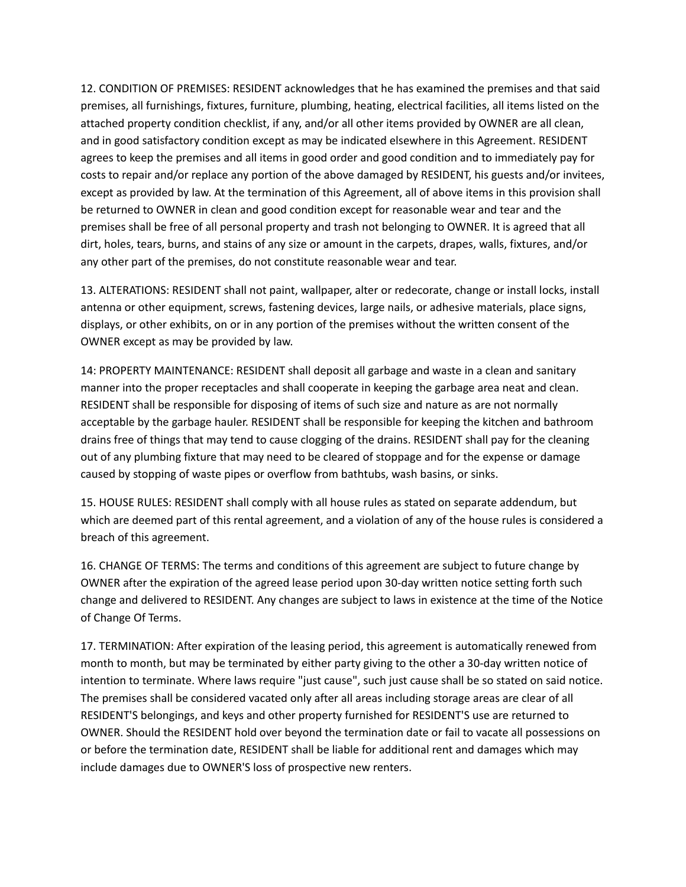12. CONDITION OF PREMISES: RESIDENT acknowledges that he has examined the premises and that said premises, all furnishings, fixtures, furniture, plumbing, heating, electrical facilities, all items listed on the attached property condition checklist, if any, and/or all other items provided by OWNER are all clean, and in good satisfactory condition except as may be indicated elsewhere in this Agreement. RESIDENT agrees to keep the premises and all items in good order and good condition and to immediately pay for costs to repair and/or replace any portion of the above damaged by RESIDENT, his guests and/or invitees, except as provided by law. At the termination of this Agreement, all of above items in this provision shall be returned to OWNER in clean and good condition except for reasonable wear and tear and the premises shall be free of all personal property and trash not belonging to OWNER. It is agreed that all dirt, holes, tears, burns, and stains of any size or amount in the carpets, drapes, walls, fixtures, and/or any other part of the premises, do not constitute reasonable wear and tear.

13. ALTERATIONS: RESIDENT shall not paint, wallpaper, alter or redecorate, change or install locks, install antenna or other equipment, screws, fastening devices, large nails, or adhesive materials, place signs, displays, or other exhibits, on or in any portion of the premises without the written consent of the OWNER except as may be provided by law.

14: PROPERTY MAINTENANCE: RESIDENT shall deposit all garbage and waste in a clean and sanitary manner into the proper receptacles and shall cooperate in keeping the garbage area neat and clean. RESIDENT shall be responsible for disposing of items of such size and nature as are not normally acceptable by the garbage hauler. RESIDENT shall be responsible for keeping the kitchen and bathroom drains free of things that may tend to cause clogging of the drains. RESIDENT shall pay for the cleaning out of any plumbing fixture that may need to be cleared of stoppage and for the expense or damage caused by stopping of waste pipes or overflow from bathtubs, wash basins, or sinks.

15. HOUSE RULES: RESIDENT shall comply with all house rules as stated on separate addendum, but which are deemed part of this rental agreement, and a violation of any of the house rules is considered a breach of this agreement.

16. CHANGE OF TERMS: The terms and conditions of this agreement are subject to future change by OWNER after the expiration of the agreed lease period upon 30-day written notice setting forth such change and delivered to RESIDENT. Any changes are subject to laws in existence at the time of the Notice of Change Of Terms.

17. TERMINATION: After expiration of the leasing period, this agreement is automatically renewed from month to month, but may be terminated by either party giving to the other a 30-day written notice of intention to terminate. Where laws require "just cause", such just cause shall be so stated on said notice. The premises shall be considered vacated only after all areas including storage areas are clear of all RESIDENT'S belongings, and keys and other property furnished for RESIDENT'S use are returned to OWNER. Should the RESIDENT hold over beyond the termination date or fail to vacate all possessions on or before the termination date, RESIDENT shall be liable for additional rent and damages which may include damages due to OWNER'S loss of prospective new renters.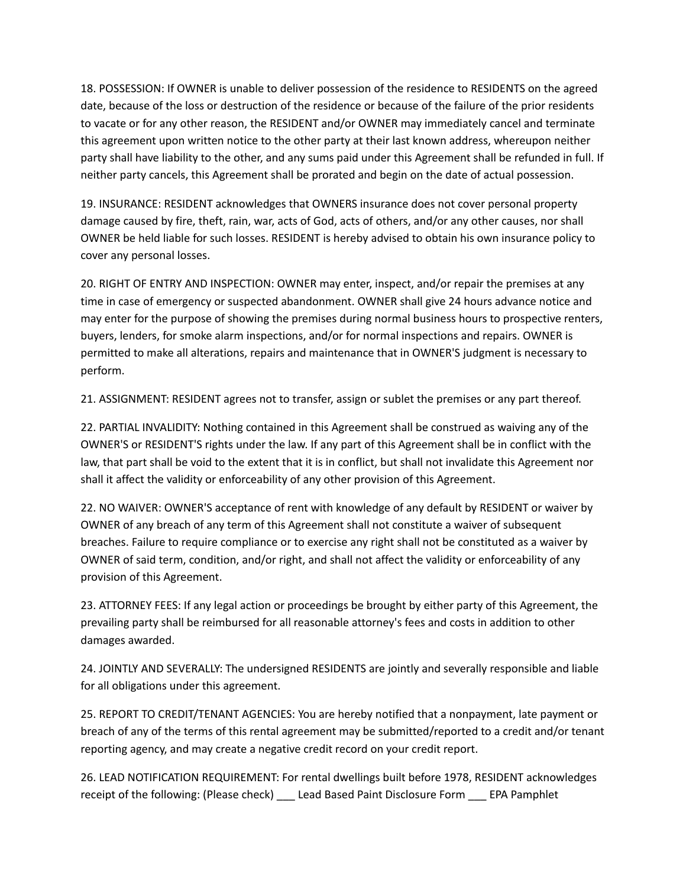18. POSSESSION: If OWNER is unable to deliver possession of the residence to RESIDENTS on the agreed date, because of the loss or destruction of the residence or because of the failure of the prior residents to vacate or for any other reason, the RESIDENT and/or OWNER may immediately cancel and terminate this agreement upon written notice to the other party at their last known address, whereupon neither party shall have liability to the other, and any sums paid under this Agreement shall be refunded in full. If neither party cancels, this Agreement shall be prorated and begin on the date of actual possession.

19. INSURANCE: RESIDENT acknowledges that OWNERS insurance does not cover personal property damage caused by fire, theft, rain, war, acts of God, acts of others, and/or any other causes, nor shall OWNER be held liable for such losses. RESIDENT is hereby advised to obtain his own insurance policy to cover any personal losses.

20. RIGHT OF ENTRY AND INSPECTION: OWNER may enter, inspect, and/or repair the premises at any time in case of emergency or suspected abandonment. OWNER shall give 24 hours advance notice and may enter for the purpose of showing the premises during normal business hours to prospective renters, buyers, lenders, for smoke alarm inspections, and/or for normal inspections and repairs. OWNER is permitted to make all alterations, repairs and maintenance that in OWNER'S judgment is necessary to perform.

21. ASSIGNMENT: RESIDENT agrees not to transfer, assign or sublet the premises or any part thereof.

22. PARTIAL INVALIDITY: Nothing contained in this Agreement shall be construed as waiving any of the OWNER'S or RESIDENT'S rights under the law. If any part of this Agreement shall be in conflict with the law, that part shall be void to the extent that it is in conflict, but shall not invalidate this Agreement nor shall it affect the validity or enforceability of any other provision of this Agreement.

22. NO WAIVER: OWNER'S acceptance of rent with knowledge of any default by RESIDENT or waiver by OWNER of any breach of any term of this Agreement shall not constitute a waiver of subsequent breaches. Failure to require compliance or to exercise any right shall not be constituted as a waiver by OWNER of said term, condition, and/or right, and shall not affect the validity or enforceability of any provision of this Agreement.

23. ATTORNEY FEES: If any legal action or proceedings be brought by either party of this Agreement, the prevailing party shall be reimbursed for all reasonable attorney's fees and costs in addition to other damages awarded.

24. JOINTLY AND SEVERALLY: The undersigned RESIDENTS are jointly and severally responsible and liable for all obligations under this agreement.

25. REPORT TO CREDIT/TENANT AGENCIES: You are hereby notified that a nonpayment, late payment or breach of any of the terms of this rental agreement may be submitted/reported to a credit and/or tenant reporting agency, and may create a negative credit record on your credit report.

26. LEAD NOTIFICATION REQUIREMENT: For rental dwellings built before 1978, RESIDENT acknowledges receipt of the following: (Please check) \_\_\_ Lead Based Paint Disclosure Form \_\_\_ EPA Pamphlet